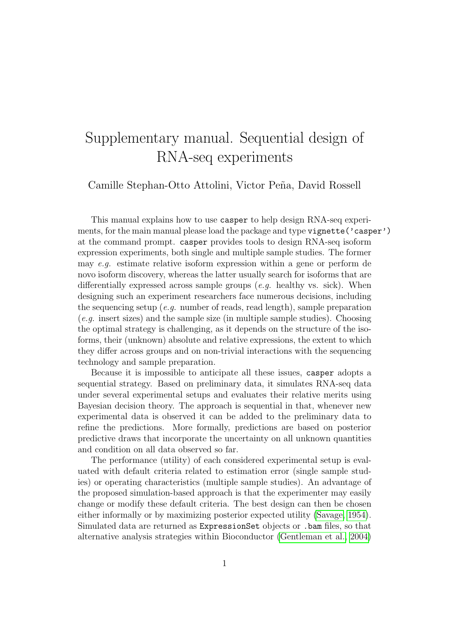# Supplementary manual. Sequential design of RNA-seq experiments

### Camille Stephan-Otto Attolini, Victor Peña, David Rossell

This manual explains how to use casper to help design RNA-seq experiments, for the main manual please load the package and type vignette ('casper') at the command prompt. casper provides tools to design RNA-seq isoform expression experiments, both single and multiple sample studies. The former may  $e, q$ , estimate relative isoform expression within a gene or perform de novo isoform discovery, whereas the latter usually search for isoforms that are differentially expressed across sample groups  $(e, q)$  healthy vs. sick). When designing such an experiment researchers face numerous decisions, including the sequencing setup (*e.g.* number of reads, read length), sample preparation  $(e.g.$  insert sizes) and the sample size (in multiple sample studies). Choosing the optimal strategy is challenging, as it depends on the structure of the isoforms, their (unknown) absolute and relative expressions, the extent to which they differ across groups and on non-trivial interactions with the sequencing technology and sample preparation.

Because it is impossible to anticipate all these issues, casper adopts a sequential strategy. Based on preliminary data, it simulates RNA-seq data under several experimental setups and evaluates their relative merits using Bayesian decision theory. The approach is sequential in that, whenever new experimental data is observed it can be added to the preliminary data to refine the predictions. More formally, predictions are based on posterior predictive draws that incorporate the uncertainty on all unknown quantities and condition on all data observed so far.

The performance (utility) of each considered experimental setup is evaluated with default criteria related to estimation error (single sample studies) or operating characteristics (multiple sample studies). An advantage of the proposed simulation-based approach is that the experimenter may easily change or modify these default criteria. The best design can then be chosen either informally or by maximizing posterior expected utility [\(Savage, 1954\)](#page-28-0). Simulated data are returned as ExpressionSet objects or .bam files, so that alternative analysis strategies within Bioconductor [\(Gentleman et al., 2004\)](#page-27-0)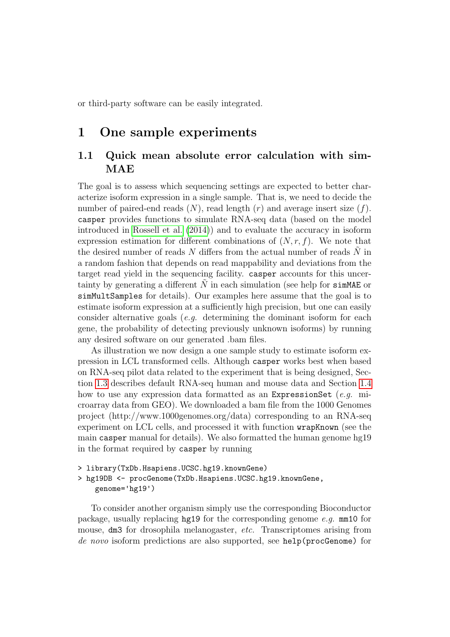or third-party software can be easily integrated.

## 1 One sample experiments

### <span id="page-1-0"></span>1.1 Quick mean absolute error calculation with sim-MAE

The goal is to assess which sequencing settings are expected to better characterize isoform expression in a single sample. That is, we need to decide the number of paired-end reads  $(N)$ , read length  $(r)$  and average insert size  $(f)$ . casper provides functions to simulate RNA-seq data (based on the model introduced in [Rossell et al.](#page-28-1) [\(2014\)](#page-28-1)) and to evaluate the accuracy in isoform expression estimation for different combinations of  $(N, r, f)$ . We note that the desired number of reads  $N$  differs from the actual number of reads  $N$  in a random fashion that depends on read mappability and deviations from the target read yield in the sequencing facility. casper accounts for this uncertainty by generating a different  $\tilde{N}$  in each simulation (see help for simMAE or simMultSamples for details). Our examples here assume that the goal is to estimate isoform expression at a sufficiently high precision, but one can easily consider alternative goals  $(e,q)$  determining the dominant isoform for each gene, the probability of detecting previously unknown isoforms) by running any desired software on our generated .bam files.

As illustration we now design a one sample study to estimate isoform expression in LCL transformed cells. Although casper works best when based on RNA-seq pilot data related to the experiment that is being designed, Section [1.3](#page-8-0) describes default RNA-seq human and mouse data and Section [1.4](#page-9-0) how to use any expression data formatted as an ExpressionSet  $(e,q, \text{mi})$ croarray data from GEO). We downloaded a bam file from the 1000 Genomes project (http://www.1000genomes.org/data) corresponding to an RNA-seq experiment on LCL cells, and processed it with function wrapKnown (see the main casper manual for details). We also formatted the human genome hg19 in the format required by casper by running

- > library(TxDb.Hsapiens.UCSC.hg19.knownGene)
- > hg19DB <- procGenome(TxDb.Hsapiens.UCSC.hg19.knownGene, genome='hg19')

To consider another organism simply use the corresponding Bioconductor package, usually replacing hg19 for the corresponding genome e.g. mm10 for mouse, dm3 for drosophila melanogaster, etc. Transcriptomes arising from de novo isoform predictions are also supported, see help(procGenome) for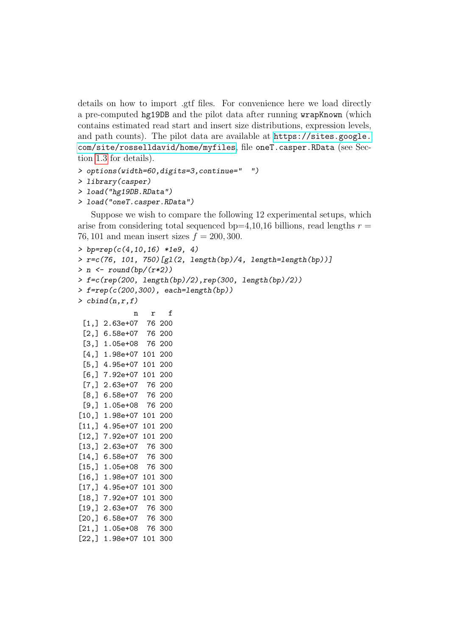details on how to import .gtf files. For convenience here we load directly a pre-computed hg19DB and the pilot data after running wrapKnown (which contains estimated read start and insert size distributions, expression levels, and path counts). The pilot data are available at [https://sites.google.](https://sites.google.com/site/rosselldavid/home/myfiles) [com/site/rosselldavid/home/myfiles](https://sites.google.com/site/rosselldavid/home/myfiles), file oneT.casper.RData (see Section [1.3](#page-8-0) for details).

```
> options(width=60,digits=3,continue=" ")
```

```
> library(casper)
```

```
> load("hg19DB.RData")
```
> load("oneT.casper.RData")

Suppose we wish to compare the following 12 experimental setups, which arise from considering total sequenced bp=4,10,16 billions, read lengths  $r =$ 76, 101 and mean insert sizes  $f = 200, 300$ .

```
> bp=rep(c(4,10,16) *1e9, 4)
```

```
> r=c(76, 101, 750)[gl(2, length(bp)/4, length=length(bp))]
> n \le round(bp/(r*2))
> f=c(rep(200, length(bp)/2),rep(300, length(bp)/2))
> f=rep(c(200,300), each=length(bp))
> cbind(n,r,f)
```

```
n r f
 [1,] 2.63e+07 76 200
 [2,] 6.58e+07 76 200
 [3,] 1.05e+08 76 200
 [4,] 1.98e+07 101 200
 [5,] 4.95e+07 101 200
 [6,] 7.92e+07 101 200
 [7,] 2.63e+07 76 200
 [8,] 6.58e+07 76 200
 [9,] 1.05e+08 76 200
[10,] 1.98e+07 101 200
[11,] 4.95e+07 101 200
[12,] 7.92e+07 101 200
[13,] 2.63e+07 76 300
[14,] 6.58e+07 76 300
[15,] 1.05e+08 76 300
[16,] 1.98e+07 101 300
[17,] 4.95e+07 101 300
[18,] 7.92e+07 101 300
[19,] 2.63e+07 76 300
[20,] 6.58e+07 76 300
[21,] 1.05e+08 76 300
[22,] 1.98e+07 101 300
```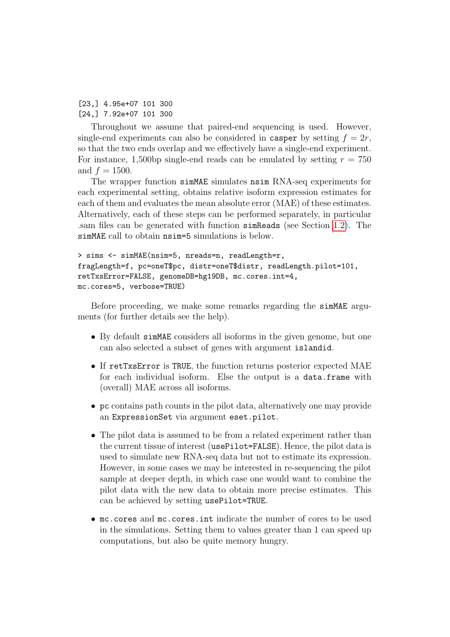```
[23,] 4.95e+07 101 300
[24,] 7.92e+07 101 300
```
Throughout we assume that paired-end sequencing is used. However, single-end experiments can also be considered in casper by setting  $f = 2r$ , so that the two ends overlap and we effectively have a single-end experiment. For instance, 1,500 bp single-end reads can be emulated by setting  $r = 750$ and  $f = 1500$ .

The wrapper function simMAE simulates nsim RNA-seq experiments for each experimental setting, obtains relative isoform expression estimates for each of them and evaluates the mean absolute error (MAE) of these estimates. Alternatively, each of these steps can be performed separately, in particular .sam files can be generated with function simReads (see Section [1.2\)](#page-6-0). The simMAE call to obtain nsim=5 simulations is below.

```
> sims <- simMAE(nsim=5, nreads=n, readLength=r,
fragLength=f, pc=oneT$pc, distr=oneT$distr, readLength.pilot=101,
retTxsError=FALSE, genomeDB=hg19DB, mc.cores.int=4,
mc.cores=5, verbose=TRUE)
```
Before proceeding, we make some remarks regarding the simMAE arguments (for further details see the help).

- By default simMAE considers all isoforms in the given genome, but one can also selected a subset of genes with argument islandid.
- If retTxsError is TRUE, the function returns posterior expected MAE for each individual isoform. Else the output is a data.frame with (overall) MAE across all isoforms.
- pc contains path counts in the pilot data, alternatively one may provide an ExpressionSet via argument eset.pilot.
- The pilot data is assumed to be from a related experiment rather than the current tissue of interest (usePilot=FALSE). Hence, the pilot data is used to simulate new RNA-seq data but not to estimate its expression. However, in some cases we may be interested in re-sequencing the pilot sample at deeper depth, in which case one would want to combine the pilot data with the new data to obtain more precise estimates. This can be achieved by setting usePilot=TRUE.
- mc.cores and mc.cores.int indicate the number of cores to be used in the simulations. Setting them to values greater than 1 can speed up computations, but also be quite memory hungry.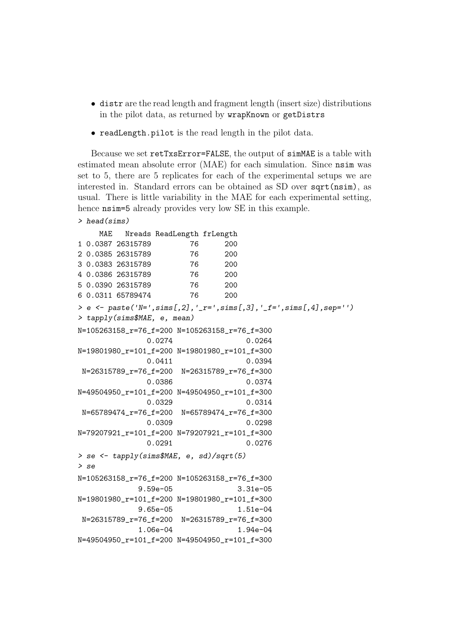- distr are the read length and fragment length (insert size) distributions in the pilot data, as returned by wrapKnown or getDistrs
- readLength.pilot is the read length in the pilot data.

Because we set retTxsError=FALSE, the output of simMAE is a table with estimated mean absolute error (MAE) for each simulation. Since nsim was set to 5, there are 5 replicates for each of the experimental setups we are interested in. Standard errors can be obtained as SD over sqrt(nsim), as usual. There is little variability in the MAE for each experimental setting, hence  $nsim=5$  already provides very low SE in this example.

#### > head(sims)

| Nreads ReadLength frLength<br>MAE             |    |                                                                  |
|-----------------------------------------------|----|------------------------------------------------------------------|
| 1 0.0387 26315789                             | 76 | 200                                                              |
| 2 0.0385 26315789                             | 76 | 200                                                              |
| 3 0.0383 26315789                             | 76 | 200                                                              |
| 4 0.0386 26315789                             | 76 | 200                                                              |
| 5 0.0390 26315789                             | 76 | 200                                                              |
| 6 0.0311 65789474                             | 76 | 200                                                              |
|                                               |    | > e <- paste('N=',sims[,2],'_r=',sims[,3],'_f=',sims[,4],sep='') |
| > tapply(sims\$MAE, e, mean)                  |    |                                                                  |
| N=105263158_r=76_f=200 N=105263158_r=76_f=300 |    |                                                                  |
| 0.0274                                        |    | 0.0264                                                           |
| N=19801980_r=101_f=200 N=19801980_r=101_f=300 |    |                                                                  |
| 0.0411                                        |    | 0.0394                                                           |
| N=26315789_r=76_f=200 N=26315789_r=76_f=300   |    |                                                                  |
| 0.0386                                        |    | 0.0374                                                           |
| N=49504950_r=101_f=200 N=49504950_r=101_f=300 |    |                                                                  |
| 0.0329                                        |    | 0.0314                                                           |
| N=65789474_r=76_f=200 N=65789474_r=76_f=300   |    |                                                                  |
| 0.0309                                        |    | 0.0298                                                           |
| N=79207921_r=101_f=200 N=79207921_r=101_f=300 |    |                                                                  |
| 0.0291                                        |    | 0.0276                                                           |
| > se <- tapply(sims\$MAE, e, sd)/sqrt(5)      |    |                                                                  |
| $>$ se                                        |    |                                                                  |
| N=105263158_r=76_f=200 N=105263158_r=76_f=300 |    |                                                                  |
| $9.59e - 05$                                  |    | $3.31e - 05$                                                     |
| N=19801980_r=101_f=200 N=19801980_r=101_f=300 |    |                                                                  |
| $9.65e-05$                                    |    | $1.51e-04$                                                       |
| N=26315789_r=76_f=200 N=26315789_r=76_f=300   |    |                                                                  |
| $1.06e-04$                                    |    | $1.94e-04$                                                       |
| N=49504950_r=101_f=200 N=49504950_r=101_f=300 |    |                                                                  |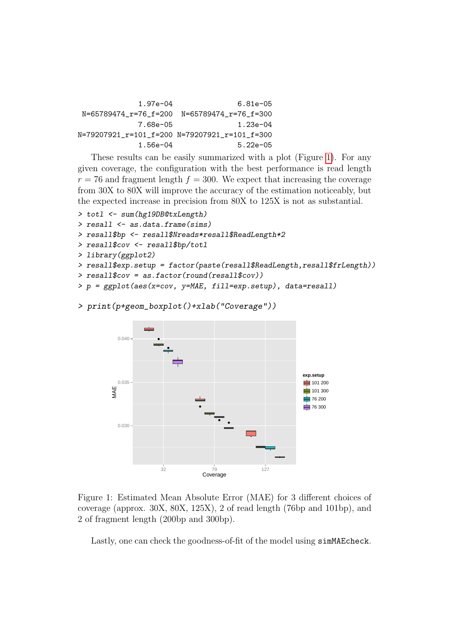| 6.81e-05                                      | 1.97e-04 |
|-----------------------------------------------|----------|
| N=65789474 r=76 f=200 N=65789474 r=76 f=300   |          |
| 1.23e-04                                      | 7.68e-05 |
| N=79207921 r=101 f=200 N=79207921 r=101 f=300 |          |
| $5.22e - 05$                                  | 1.56e-04 |

These results can be easily summarized with a plot (Figure [1\)](#page-5-0). For any given coverage, the configuration with the best performance is read length  $r = 76$  and fragment length  $f = 300$ . We expect that increasing the coverage from 30X to 80X will improve the accuracy of the estimation noticeably, but the expected increase in precision from 80X to 125X is not as substantial.

```
> totl <- sum(hg19DB@txLength)
> resall <- as.data.frame(sims)
> resall$bp <- resall$Nreads*resall$ReadLength*2
> resall$cov <- resall$bp/totl
> library(ggplot2)
> resall$exp.setup = factor(paste(resall$ReadLength,resall$frLength))
> resall$cov = as.factor(round(resall$cov))
> p = \text{ggplot}(aes(x=cov, y=MAE, fill=exp.setup), data=resall)
```

```
> print(p+geom_boxplot()+xlab("Coverage"))
```


<span id="page-5-0"></span>Figure 1: Estimated Mean Absolute Error (MAE) for 3 different choices of coverage (approx. 30X, 80X, 125X), 2 of read length (76bp and 101bp), and 2 of fragment length (200bp and 300bp).

Lastly, one can check the goodness-of-fit of the model using simMAEcheck.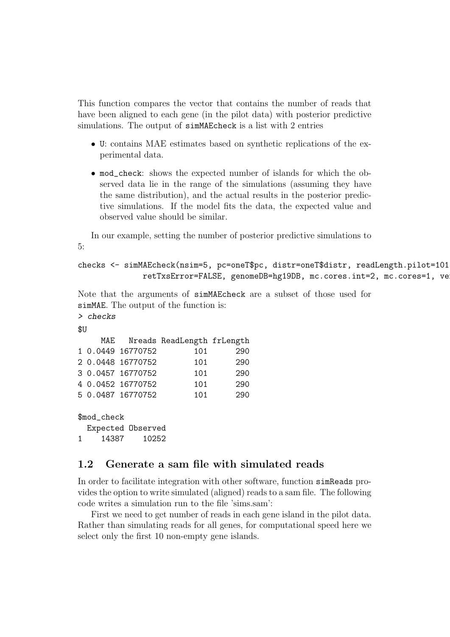This function compares the vector that contains the number of reads that have been aligned to each gene (in the pilot data) with posterior predictive simulations. The output of simMAEcheck is a list with 2 entries

- U: contains MAE estimates based on synthetic replications of the experimental data.
- mod\_check: shows the expected number of islands for which the observed data lie in the range of the simulations (assuming they have the same distribution), and the actual results in the posterior predictive simulations. If the model fits the data, the expected value and observed value should be similar.

In our example, setting the number of posterior predictive simulations to 5:

### checks <- simMAEcheck(nsim=5, pc=oneT\$pc, distr=oneT\$distr, readLength.pilot=101 retTxsError=FALSE, genomeDB=hg19DB, mc.cores.int=2, mc.cores=1, ve

Note that the arguments of simMAEcheck are a subset of those used for simMAE. The output of the function is: > checks

```
$U
```

| MAE |                   | Nreads ReadLength frLength |     |
|-----|-------------------|----------------------------|-----|
|     | 1 0.0449 16770752 | 101                        | 290 |
|     | 2 0.0448 16770752 | 101                        | 290 |
|     | 3 0.0457 16770752 | 101                        | 290 |
|     | 4 0.0452 16770752 | 101                        | 290 |
|     | 5 0.0487 16770752 | 101                        | 290 |

```
$mod_check
```

```
Expected Observed
1 14387 10252
```
### <span id="page-6-0"></span>1.2 Generate a sam file with simulated reads

In order to facilitate integration with other software, function simReads provides the option to write simulated (aligned) reads to a sam file. The following code writes a simulation run to the file 'sims.sam':

First we need to get number of reads in each gene island in the pilot data. Rather than simulating reads for all genes, for computational speed here we select only the first 10 non-empty gene islands.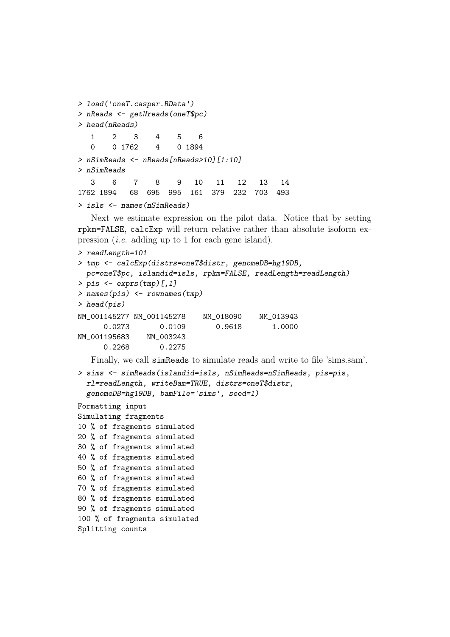```
> load('oneT.casper.RData')
> nReads <- getNreads(oneT$pc)
> head(nReads)
  1 2 3 4 5 6
  0 0 1762 4 0 1894
> nSimReads <- nReads[nReads>10][1:10]
> nSimReads
  3 6 7 8 9 10 11 12 13 14
1762 1894 68 695 995 161 379 232 703 493
> isls <- names(nSimReads)
```
Next we estimate expression on the pilot data. Notice that by setting rpkm=FALSE, calcExp will return relative rather than absolute isoform expression (i.e. adding up to 1 for each gene island).

```
> readLength=101
> tmp <- calcExp(distrs=oneT$distr, genomeDB=hg19DB,
  pc=oneT$pc, islandid=isls, rpkm=FALSE, readLength=readLength)
> pis \leq exprs(tmp)[,1]
> names(pis) <- rownames(tmp)
> head(pis)
NM_001145277 NM_001145278 NM_018090 NM_013943
      0.0273 0.0109 0.9618 1.0000
NM_001195683 NM_003243
      0.2268 0.2275
   Finally, we call simReads to simulate reads and write to file 'sims.sam'.
> sims <- simReads(islandid=isls, nSimReads=nSimReads, pis=pis,
  rl=readLength, writeBam=TRUE, distrs=oneT$distr,
  genomeDB=hg19DB, bamFile='sims', seed=1)
Formatting input
Simulating fragments
10 % of fragments simulated
20 % of fragments simulated
30 % of fragments simulated
40 % of fragments simulated
50 % of fragments simulated
60 % of fragments simulated
70 % of fragments simulated
80 % of fragments simulated
90 % of fragments simulated
100 % of fragments simulated
Splitting counts
```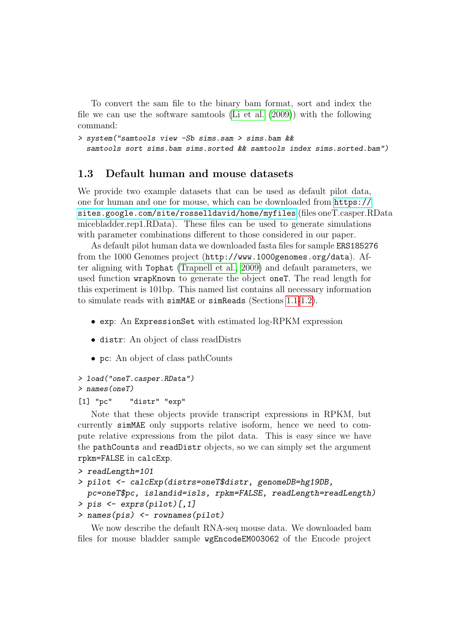To convert the sam file to the binary bam format, sort and index the file we can use the software samtools [\(Li et al.](#page-27-1) [\(2009\)](#page-27-1)) with the following command:

```
> system("samtools view -Sb sims.sam > sims.bam &&
  samtools sort sims.bam sims.sorted && samtools index sims.sorted.bam")
```
### <span id="page-8-0"></span>1.3 Default human and mouse datasets

We provide two example datasets that can be used as default pilot data, one for human and one for mouse, which can be downloaded from [https://](https://sites.google.com/site/rosselldavid/home/myfiles) [sites.google.com/site/rosselldavid/home/myfiles](https://sites.google.com/site/rosselldavid/home/myfiles) (files oneT.casper.RData micebladder.rep1.RData). These files can be used to generate simulations with parameter combinations different to those considered in our paper.

As default pilot human data we downloaded fasta files for sample ERS185276 from the 1000 Genomes project (http://www.1000genomes.org/data). After aligning with Tophat [\(Trapnell et al., 2009\)](#page-28-2) and default parameters, we used function wrapKnown to generate the object oneT. The read length for this experiment is 101bp. This named list contains all necessary information to simulate reads with simMAE or simReads (Sections [1.1-](#page-1-0)[1.2\)](#page-6-0).

- exp: An ExpressionSet with estimated log-RPKM expression
- distr: An object of class readDistrs
- pc: An object of class pathCounts

```
> load("oneT.casper.RData")
```

```
> names(oneT)
```

```
[1] "pc" "distr" "exp"
```
Note that these objects provide transcript expressions in RPKM, but currently simMAE only supports relative isoform, hence we need to compute relative expressions from the pilot data. This is easy since we have the pathCounts and readDistr objects, so we can simply set the argument rpkm=FALSE in calcExp.

```
> readLength=101
```

```
> pilot <- calcExp(distrs=oneT$distr, genomeDB=hg19DB,
```

```
pc=oneT$pc, islandid=isls, rpkm=FALSE, readLength=readLength)
> pis \leq exprs(pilot)[,1]
```
> names(pis) <- rownames(pilot)

We now describe the default RNA-seq mouse data. We downloaded bam files for mouse bladder sample wgEncodeEM003062 of the Encode project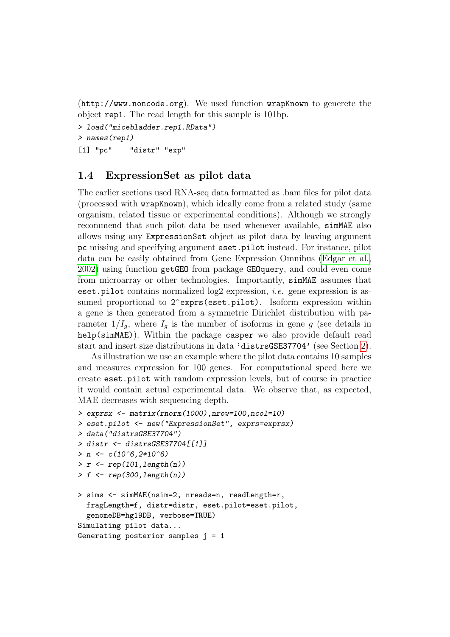(http://www.noncode.org). We used function wrapKnown to generete the object rep1. The read length for this sample is 101bp.

> load("micebladder.rep1.RData")

> names(rep1)

[1] "pc" "distr" "exp"

### <span id="page-9-0"></span>1.4 ExpressionSet as pilot data

The earlier sections used RNA-seq data formatted as .bam files for pilot data (processed with wrapKnown), which ideally come from a related study (same organism, related tissue or experimental conditions). Although we strongly recommend that such pilot data be used whenever available, simMAE also allows using any ExpressionSet object as pilot data by leaving argument pc missing and specifying argument eset.pilot instead. For instance, pilot data can be easily obtained from Gene Expression Omnibus [\(Edgar et al.,](#page-27-2) [2002\)](#page-27-2) using function getGEO from package GEOquery, and could even come from microarray or other technologies. Importantly, simMAE assumes that eset.pilot contains normalized log2 expression, i.e. gene expression is assumed proportional to 2<sup>o</sup>exprs(eset.pilot). Isoform expression within a gene is then generated from a symmetric Dirichlet distribution with parameter  $1/I<sub>g</sub>$ , where  $I<sub>g</sub>$  is the number of isoforms in gene g (see details in help(simMAE)). Within the package casper we also provide default read start and insert size distributions in data 'distrsGSE37704' (see Section [2\)](#page-11-0).

As illustration we use an example where the pilot data contains 10 samples and measures expression for 100 genes. For computational speed here we create eset.pilot with random expression levels, but of course in practice it would contain actual experimental data. We observe that, as expected, MAE decreases with sequencing depth.

```
> exprsx <- matrix(rnorm(1000),nrow=100,ncol=10)
> eset.pilot <- new("ExpressionSet", exprs=exprsx)
> data("distrsGSE37704")
> distr <- distrsGSE37704[[1]]
> n \leq c(10^66.2*10^6)> r < -\operatorname{rep}(101, \operatorname{length}(n))> f \leftarrow rep(300, length(n))> sims <- simMAE(nsim=2, nreads=n, readLength=r,
  fragLength=f, distr=distr, eset.pilot=eset.pilot,
  genomeDB=hg19DB, verbose=TRUE)
Simulating pilot data...
```

```
Generating posterior samples j = 1
```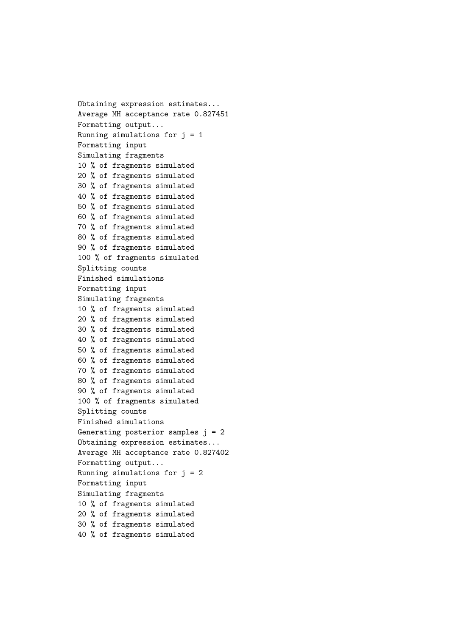```
Obtaining expression estimates...
Average MH acceptance rate 0.827451
Formatting output...
Running simulations for j = 1Formatting input
Simulating fragments
10 % of fragments simulated
20 % of fragments simulated
30 % of fragments simulated
40 % of fragments simulated
50 % of fragments simulated
60 % of fragments simulated
70 % of fragments simulated
80 % of fragments simulated
90 % of fragments simulated
100 % of fragments simulated
Splitting counts
Finished simulations
Formatting input
Simulating fragments
10 % of fragments simulated
20 % of fragments simulated
30 % of fragments simulated
40 % of fragments simulated
50 % of fragments simulated
60 % of fragments simulated
70 % of fragments simulated
80 % of fragments simulated
90 % of fragments simulated
100 % of fragments simulated
Splitting counts
Finished simulations
Generating posterior samples j = 2Obtaining expression estimates...
Average MH acceptance rate 0.827402
Formatting output...
Running simulations for j = 2Formatting input
Simulating fragments
10 % of fragments simulated
20 % of fragments simulated
30 % of fragments simulated
40 % of fragments simulated
```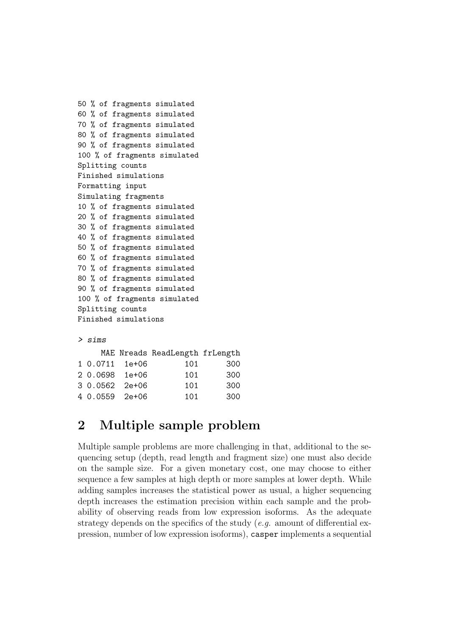```
50 % of fragments simulated
60 % of fragments simulated
70 % of fragments simulated
80 % of fragments simulated
90 % of fragments simulated
100 % of fragments simulated
Splitting counts
Finished simulations
Formatting input
Simulating fragments
10 % of fragments simulated
20 % of fragments simulated
30 % of fragments simulated
40 % of fragments simulated
50 % of fragments simulated
60 % of fragments simulated
70 % of fragments simulated
80 % of fragments simulated
90 % of fragments simulated
100 % of fragments simulated
Splitting counts
Finished simulations
```
#### > sims

|                | MAE Nreads ReadLength frLength |     |
|----------------|--------------------------------|-----|
| 1 0.0711 1e+06 | 101                            | 300 |
| 2 0.0698 1e+06 | 101                            | 300 |
| 3 0.0562 2e+06 | 101                            | 300 |
| 4 0.0559 2e+06 | 101                            | 300 |
|                |                                |     |

# <span id="page-11-0"></span>2 Multiple sample problem

Multiple sample problems are more challenging in that, additional to the sequencing setup (depth, read length and fragment size) one must also decide on the sample size. For a given monetary cost, one may choose to either sequence a few samples at high depth or more samples at lower depth. While adding samples increases the statistical power as usual, a higher sequencing depth increases the estimation precision within each sample and the probability of observing reads from low expression isoforms. As the adequate strategy depends on the specifics of the study  $(e.g.$  amount of differential expression, number of low expression isoforms), casper implements a sequential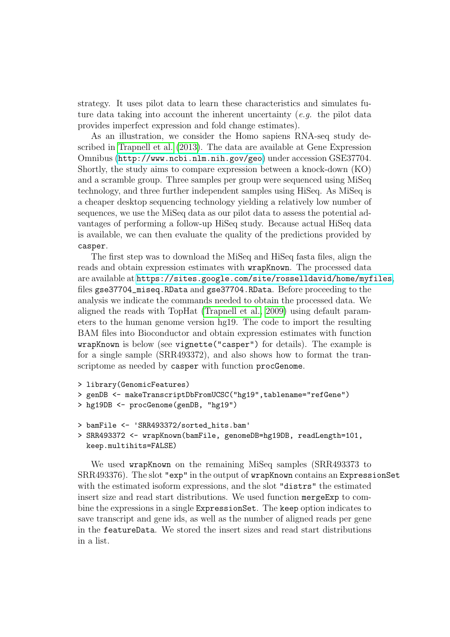strategy. It uses pilot data to learn these characteristics and simulates future data taking into account the inherent uncertainty (e.g. the pilot data provides imperfect expression and fold change estimates).

As an illustration, we consider the Homo sapiens RNA-seq study described in [Trapnell et al.](#page-28-3) [\(2013\)](#page-28-3). The data are available at Gene Expression Omnibus (<http://www.ncbi.nlm.nih.gov/geo>) under accession GSE37704. Shortly, the study aims to compare expression between a knock-down (KO) and a scramble group. Three samples per group were sequenced using MiSeq technology, and three further independent samples using HiSeq. As MiSeq is a cheaper desktop sequencing technology yielding a relatively low number of sequences, we use the MiSeq data as our pilot data to assess the potential advantages of performing a follow-up HiSeq study. Because actual HiSeq data is available, we can then evaluate the quality of the predictions provided by casper.

The first step was to download the MiSeq and HiSeq fasta files, align the reads and obtain expression estimates with wrapKnown. The processed data are available at <https://sites.google.com/site/rosselldavid/home/myfiles>, files gse37704\_miseq.RData and gse37704.RData. Before proceeding to the analysis we indicate the commands needed to obtain the processed data. We aligned the reads with TopHat [\(Trapnell et al., 2009\)](#page-28-2) using default parameters to the human genome version hg19. The code to import the resulting BAM files into Bioconductor and obtain expression estimates with function wrapKnown is below (see vignette("casper") for details). The example is for a single sample (SRR493372), and also shows how to format the transcriptome as needed by casper with function procGenome.

```
> library(GenomicFeatures)
```

```
> genDB <- makeTranscriptDbFromUCSC("hg19",tablename="refGene")
```

```
> hg19DB <- procGenome(genDB, "hg19")
```

```
> bamFile <- 'SRR493372/sorted_hits.bam'
```

```
> SRR493372 <- wrapKnown(bamFile, genomeDB=hg19DB, readLength=101,
 keep.multihits=FALSE)
```
We used wrapKnown on the remaining MiSeq samples (SRR493373 to SRR493376). The slot "exp" in the output of wrapKnown contains an ExpressionSet with the estimated isoform expressions, and the slot "distrs" the estimated insert size and read start distributions. We used function mergeExp to combine the expressions in a single ExpressionSet. The keep option indicates to save transcript and gene ids, as well as the number of aligned reads per gene in the featureData. We stored the insert sizes and read start distributions in a list.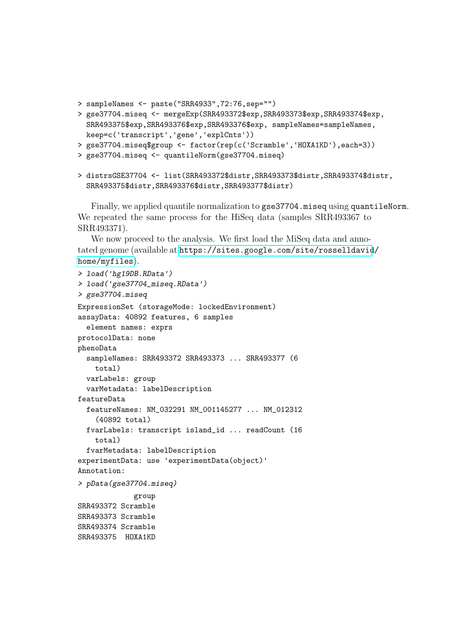- > sampleNames <- paste("SRR4933",72:76,sep="")
- > gse37704.miseq <- mergeExp(SRR493372\$exp,SRR493373\$exp,SRR493374\$exp, SRR493375\$exp,SRR493376\$exp,SRR493376\$exp, sampleNames=sampleNames, keep=c('transcript','gene','explCnts'))
- > gse37704.miseq\$group <- factor(rep(c('Scramble','HOXA1KD'),each=3))
- > gse37704.miseq <- quantileNorm(gse37704.miseq)
- > distrsGSE37704 <- list(SRR493372\$distr,SRR493373\$distr,SRR493374\$distr, SRR493375\$distr,SRR493376\$distr,SRR493377\$distr)

Finally, we applied quantile normalization to gse37704.miseq using quantileNorm. We repeated the same process for the HiSeq data (samples SRR493367 to SRR493371).

We now proceed to the analysis. We first load the MiSeq data and annotated genome (available at [https://sites.google.com/site/rosselldavid](https://sites.google.com/site/rosselldavid/home/myfiles)/ [home/myfiles](https://sites.google.com/site/rosselldavid/home/myfiles)).

```
> load('hg19DB.RData')
> load('gse37704_miseq.RData')
> gse37704.miseq
ExpressionSet (storageMode: lockedEnvironment)
assayData: 40892 features, 6 samples
  element names: exprs
protocolData: none
phenoData
  sampleNames: SRR493372 SRR493373 ... SRR493377 (6
    total)
  varLabels: group
  varMetadata: labelDescription
featureData
  featureNames: NM_032291 NM_001145277 ... NM_012312
    (40892 total)
  fvarLabels: transcript island_id ... readCount (16
    total)
  fvarMetadata: labelDescription
experimentData: use 'experimentData(object)'
Annotation:
> pData(gse37704.miseq)
             group
SRR493372 Scramble
SRR493373 Scramble
SRR493374 Scramble
SRR493375 HOXA1KD
```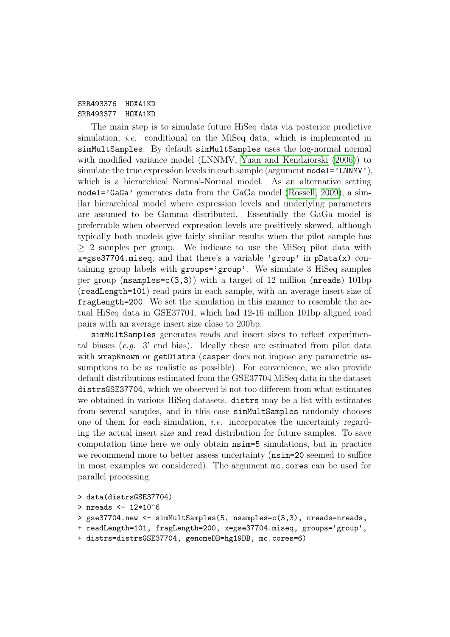### SRR493376 HOXA1KD SRR493377 HOXA1KD

The main step is to simulate future HiSeq data via posterior predictive simulation, *i.e.* conditional on the MiSeq data, which is implemented in simMultSamples. By default simMultSamples uses the log-normal normal with modified variance model (LNNMV, [Yuan and Kendziorski](#page-28-4) [\(2006\)](#page-28-4)) to simulate the true expression levels in each sample (argument  $\texttt{model='LNNMV'}$ ), which is a hierarchical Normal-Normal model. As an alternative setting model='GaGa' generates data from the GaGa model [\(Rossell, 2009\)](#page-27-3), a similar hierarchical model where expression levels and underlying parameters are assumed to be Gamma distributed. Essentially the GaGa model is preferrable when observed expression levels are positively skewed, although typically both models give fairly similar results when the pilot sample has ≥ 2 samples per group. We indicate to use the MiSeq pilot data with  $x = g$ se37704.miseq, and that there's a variable 'group' in pData(x) containing group labels with groups='group'. We simulate 3 HiSeq samples per group ( $n\tan\theta = c(3,3)$ ) with a target of 12 million ( $n\tan\theta$ ) 101bp (readLength=101) read pairs in each sample, with an average insert size of fragLength=200. We set the simulation in this manner to resemble the actual HiSeq data in GSE37704, which had 12-16 million 101bp aligned read pairs with an average insert size close to 200bp.

simMultSamples generates reads and insert sizes to reflect experimental biases (e.g. 3' end bias). Ideally these are estimated from pilot data with wrapKnown or getDistrs (casper does not impose any parametric assumptions to be as realistic as possible). For convenience, we also provide default distributions estimated from the GSE37704 MiSeq data in the dataset distrsGSE37704, which we observed is not too different from what estimates we obtained in various HiSeq datasets. distrs may be a list with estimates from several samples, and in this case simMultSamples randomly chooses one of them for each simulation, *i.e.* incorporates the uncertainty regarding the actual insert size and read distribution for future samples. To save computation time here we only obtain nsim=5 simulations, but in practice we recommend more to better assess uncertainty (nsim=20 seemed to suffice in most examples we considered). The argument mc.cores can be used for parallel processing.

```
> data(distrsGSE37704)
```

```
> nreads <- 12*10^6
```

```
> gse37704.new <- simMultSamples(5, nsamples=c(3,3), nreads=nreads,
```

```
+ readLength=101, fragLength=200, x=gse37704.miseq, groups='group',
```

```
+ distrs=distrsGSE37704, genomeDB=hg19DB, mc.cores=6)
```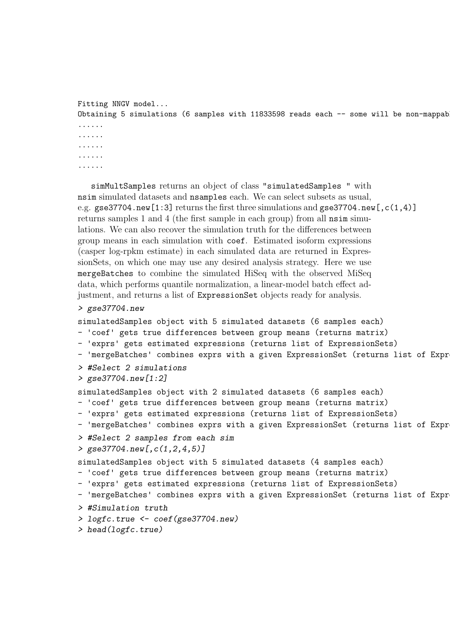```
Fitting NNGV model...
Obtaining 5 simulations (6 samples with 11833598 reads each - some will be non-mappab
......
......
......
......
......
```
simMultSamples returns an object of class "simulatedSamples " with nsim simulated datasets and nsamples each. We can select subsets as usual, e.g. gse37704.new [1:3] returns the first three simulations and gse37704.new [, $c(1,4)$ ] returns samples 1 and 4 (the first sample in each group) from all nsim simulations. We can also recover the simulation truth for the differences between group means in each simulation with coef. Estimated isoform expressions (casper log-rpkm estimate) in each simulated data are returned in ExpressionSets, on which one may use any desired analysis strategy. Here we use mergeBatches to combine the simulated HiSeq with the observed MiSeq data, which performs quantile normalization, a linear-model batch effect adjustment, and returns a list of ExpressionSet objects ready for analysis.

```
> gse37704.new
```
simulatedSamples object with 5 simulated datasets (6 samples each)

- 'coef' gets true differences between group means (returns matrix)
- 'exprs' gets estimated expressions (returns list of ExpressionSets)
- 'mergeBatches' combines exprs with a given ExpressionSet (returns list of Expr
- > #Select 2 simulations
- > gse37704.new[1:2]

```
simulatedSamples object with 2 simulated datasets (6 samples each)
```
- 'coef' gets true differences between group means (returns matrix)
- 'exprs' gets estimated expressions (returns list of ExpressionSets)
- 'mergeBatches' combines exprs with a given ExpressionSet (returns list of Expr
- > #Select 2 samples from each sim

```
> gse37704.new[,c(1,2,4,5)]
```

```
simulatedSamples object with 5 simulated datasets (4 samples each)
```
- 'coef' gets true differences between group means (returns matrix)

- 'exprs' gets estimated expressions (returns list of ExpressionSets)

```
- 'mergeBatches' combines exprs with a given ExpressionSet (returns list of Expr
```
- > #Simulation truth
- > logfc.true <- coef(gse37704.new)
- > head(logfc.true)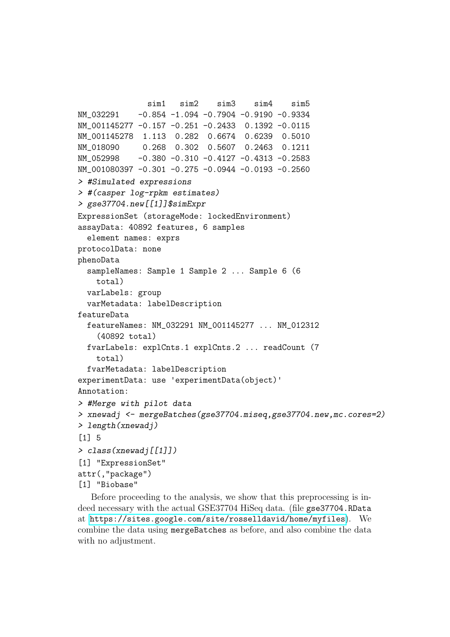```
sim1 sim2 sim3 sim4 sim5
NM_032291 -0.854 -1.094 -0.7904 -0.9190 -0.9334
NM_001145277 -0.157 -0.251 -0.2433 0.1392 -0.0115
NM_001145278 1.113 0.282 0.6674 0.6239 0.5010
NM_018090 0.268 0.302 0.5607 0.2463 0.1211
NM_052998 -0.380 -0.310 -0.4127 -0.4313 -0.2583
NM_001080397 -0.301 -0.275 -0.0944 -0.0193 -0.2560
> #Simulated expressions
> #(casper log-rpkm estimates)
> gse37704.new[[1]]$simExpr
ExpressionSet (storageMode: lockedEnvironment)
assayData: 40892 features, 6 samples
  element names: exprs
protocolData: none
phenoData
  sampleNames: Sample 1 Sample 2 ... Sample 6 (6
    total)
  varLabels: group
  varMetadata: labelDescription
featureData
  featureNames: NM_032291 NM_001145277 ... NM_012312
    (40892 total)
  fvarLabels: explCnts.1 explCnts.2 ... readCount (7
    total)
  fvarMetadata: labelDescription
experimentData: use 'experimentData(object)'
Annotation:
> #Merge with pilot data
> xnewadj <- mergeBatches(gse37704.miseq,gse37704.new,mc.cores=2)
> length(xnewadj)
[1] 5
> class(xnewadj[[1]])
[1] "ExpressionSet"
attr(,"package")
[1] "Biobase"
```
Before proceeding to the analysis, we show that this preprocessing is indeed necessary with the actual GSE37704 HiSeq data. (file gse37704.RData at <https://sites.google.com/site/rosselldavid/home/myfiles>). We combine the data using mergeBatches as before, and also combine the data with no adjustment.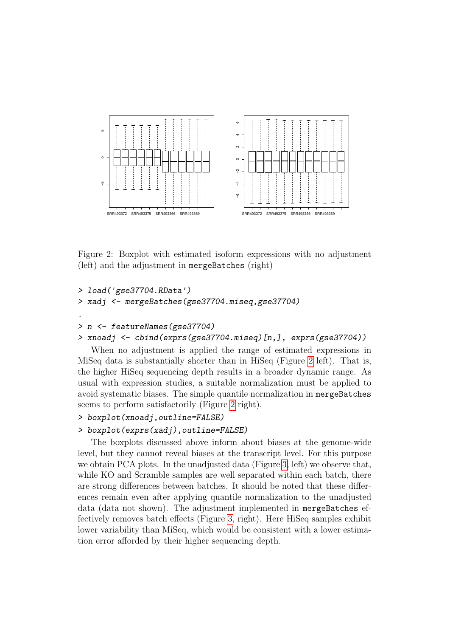

<span id="page-17-0"></span>Figure 2: Boxplot with estimated isoform expressions with no adjustment (left) and the adjustment in mergeBatches (right)

```
> load('gse37704.RData')
```
.

```
> xadj <- mergeBatches(gse37704.miseq,gse37704)
```

```
> n <- featureNames(gse37704)
```
 $>$  xnoadj  $\le$  cbind(exprs(gse37704.miseq)[n,], exprs(gse37704))

When no adjustment is applied the range of estimated expressions in MiSeq data is substantially shorter than in HiSeq (Figure [2](#page-17-0) left). That is, the higher HiSeq sequencing depth results in a broader dynamic range. As usual with expression studies, a suitable normalization must be applied to avoid systematic biases. The simple quantile normalization in mergeBatches seems to perform satisfactorily (Figure [2](#page-17-0) right).

### > boxplot(xnoadj,outline=FALSE)

### > boxplot(exprs(xadj),outline=FALSE)

The boxplots discussed above inform about biases at the genome-wide level, but they cannot reveal biases at the transcript level. For this purpose we obtain PCA plots. In the unadjusted data (Figure [3,](#page-18-0) left) we observe that, while KO and Scramble samples are well separated within each batch, there are strong differences between batches. It should be noted that these differences remain even after applying quantile normalization to the unadjusted data (data not shown). The adjustment implemented in mergeBatches effectively removes batch effects (Figure [3,](#page-18-0) right). Here HiSeq samples exhibit lower variability than MiSeq, which would be consistent with a lower estimation error afforded by their higher sequencing depth.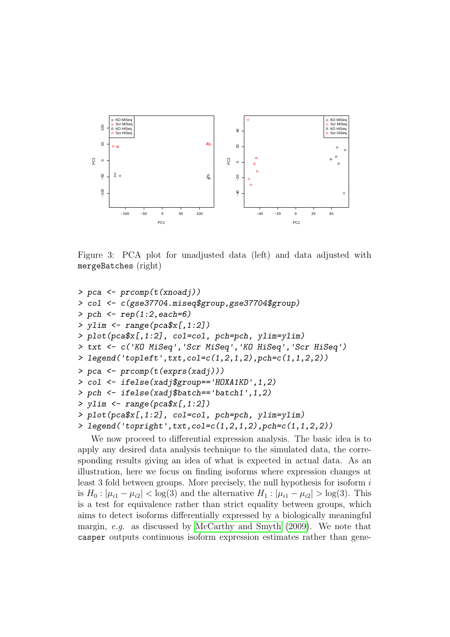

<span id="page-18-0"></span>Figure 3: PCA plot for unadjusted data (left) and data adjusted with mergeBatches (right)

```
> pca <- prcomp(t(xnoadj))
> col <- c(gse37704.miseq$group,gse37704$group)
> pch \leq rep(1:2,each=6)
> ylim \leq range(pca$x[,1:2])
> plot(pca$x[,1:2], col=col, pch=pch, ylim=ylim)
> txt <- c('KO MiSeq','Scr MiSeq','KO HiSeq','Scr HiSeq')
> legend('topleft',txt,col=c(1,2,1,2),pch=c(1,1,2,2))
> pca <- prcomp(t(exprs(xadj)))
> col <- ifelse(xadj$group=='HOXA1KD',1,2)
> pch <- ifelse(xadj$batch=='batch1',1,2)
> ylim \leq range(pca$x[,1:2])
> plot(pca$x[,1:2], col=col, pch=pch, ylim=ylim)
> legend('topright',txt,col=c(1,2,1,2),pch=c(1,1,2,2))
```
We now proceed to differential expression analysis. The basic idea is to apply any desired data analysis technique to the simulated data, the corresponding results giving an idea of what is expected in actual data. As an illustration, here we focus on finding isoforms where expression changes at least 3 fold between groups. More precisely, the null hypothesis for isoform  $i$ is  $H_0: |\mu_{i1} - \mu_{i2}| < \log(3)$  and the alternative  $H_1: |\mu_{i1} - \mu_{i2}| > \log(3)$ . This is a test for equivalence rather than strict equality between groups, which aims to detect isoforms differentially expressed by a biologically meaningful margin, e.g. as discussed by [McCarthy and Smyth](#page-27-4) [\(2009\)](#page-27-4). We note that casper outputs continuous isoform expression estimates rather than gene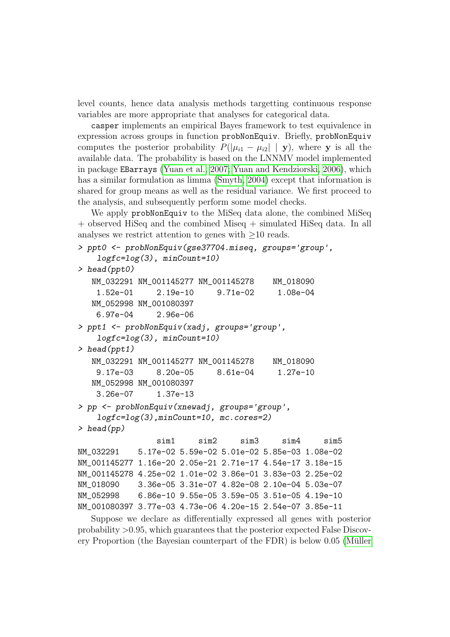level counts, hence data analysis methods targetting continuous response variables are more appropriate that analyses for categorical data.

casper implements an empirical Bayes framework to test equivalence in expression across groups in function probNonEquiv. Briefly, probNonEquiv computes the posterior probability  $P(|\mu_{i1} - \mu_{i2}| \mid y)$ , where y is all the available data. The probability is based on the LNNMV model implemented in package EBarrays [\(Yuan et al., 2007;](#page-28-5) [Yuan and Kendziorski, 2006\)](#page-28-4), which has a similar formulation as limma [\(Smyth, 2004\)](#page-28-6) except that information is shared for group means as well as the residual variance. We first proceed to the analysis, and subsequently perform some model checks.

We apply **probNonEquiv** to the MiSeq data alone, the combined MiSeq + observed HiSeq and the combined Miseq + simulated HiSeq data. In all analyses we restrict attention to genes with ≥10 reads.

```
> ppt0 <- probNonEquiv(gse37704.miseq, groups='group',
    logfc=log(3), minCount=10)
> head(ppt0)
  NM_032291 NM_001145277 NM_001145278 NM_018090
   1.52e-01 2.19e-10 9.71e-02 1.08e-04
  NM_052998 NM_001080397
   6.97e-04 2.96e-06
> ppt1 <- probNonEquiv(xadj, groups='group',
    logfc=log(3), minCount=10)
> head(ppt1)
  NM_032291 NM_001145277 NM_001145278 NM_018090
   9.17e-03 8.20e-05 8.61e-04 1.27e-10
  NM_052998 NM_001080397
   3.26e-07 1.37e-13
> pp <- probNonEquiv(xnewadj, groups='group',
    logfc=log(3),minCount=10, mc.cores=2)
> head(pp)
                sim1 sim2 sim3 sim4 sim5
NM_032291 5.17e-02 5.59e-02 5.01e-02 5.85e-03 1.08e-02
NM_001145277 1.16e-20 2.05e-21 2.71e-17 4.54e-17 3.18e-15
NM_001145278 4.25e-02 1.01e-02 3.86e-01 3.83e-03 2.25e-02
NM_018090 3.36e-05 3.31e-07 4.82e-08 2.10e-04 5.03e-07
NM_052998 6.86e-10 9.55e-05 3.59e-05 3.51e-05 4.19e-10
NM_001080397 3.77e-03 4.73e-06 4.20e-15 2.54e-07 3.85e-11
```
Suppose we declare as differentially expressed all genes with posterior probability >0.95, which guarantees that the posterior expected False Discovery Proportion (the Bayesian counterpart of the FDR) is below  $0.05$  (Müller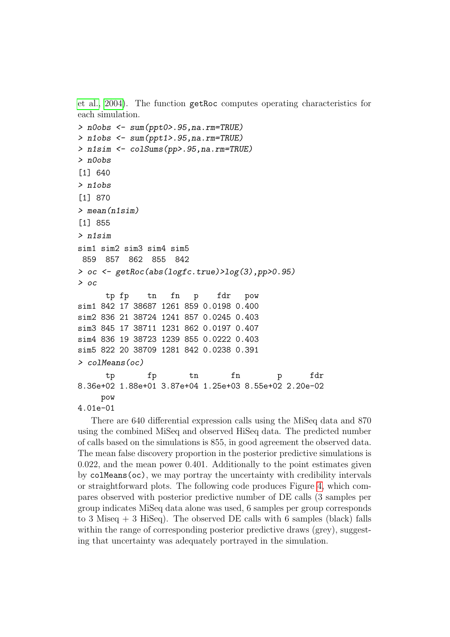```
et al., 2004). The function getRoc computes operating characteristics for
each simulation.
```

```
> n0obs <- sum(ppt0>.95,na.rm=TRUE)
> n1obs <- sum(ppt1>.95,na.rm=TRUE)
> n1sim <- colSums(pp>.95,na.rm=TRUE)
> n0obs
[1] 640
> n1obs
[1] 870
> mean(n1sim)
[1] 855
> n1sim
sim1 sim2 sim3 sim4 sim5
859 857 862 855 842
> oc <- getRoc(abs(logfc.true)>log(3),pp>0.95)
> oc
     tp fp tn fn p fdr pow
sim1 842 17 38687 1261 859 0.0198 0.400
sim2 836 21 38724 1241 857 0.0245 0.403
sim3 845 17 38711 1231 862 0.0197 0.407
sim4 836 19 38723 1239 855 0.0222 0.403
sim5 822 20 38709 1281 842 0.0238 0.391
> colMeans(oc)
     tp fp tn fn p fdr
8.36e+02 1.88e+01 3.87e+04 1.25e+03 8.55e+02 2.20e-02
    pow
4.01e-01
```
There are 640 differential expression calls using the MiSeq data and 870 using the combined MiSeq and observed HiSeq data. The predicted number of calls based on the simulations is 855, in good agreement the observed data. The mean false discovery proportion in the posterior predictive simulations is 0.022, and the mean power 0.401. Additionally to the point estimates given by colMeans(oc), we may portray the uncertainty with credibility intervals or straightforward plots. The following code produces Figure [4,](#page-21-0) which compares observed with posterior predictive number of DE calls (3 samples per group indicates MiSeq data alone was used, 6 samples per group corresponds to 3 Miseq  $+$  3 HiSeq). The observed DE calls with 6 samples (black) falls within the range of corresponding posterior predictive draws (grey), suggesting that uncertainty was adequately portrayed in the simulation.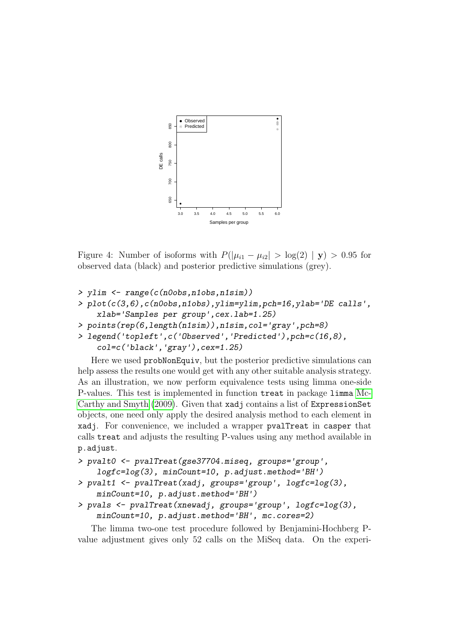

<span id="page-21-0"></span>Figure 4: Number of isoforms with  $P(|\mu_{i1} - \mu_{i2}| > \log(2) | \mathbf{y}) > 0.95$  for observed data (black) and posterior predictive simulations (grey).

```
> ylim <- range(c(n0obs,n1obs,n1sim))
> plot(c(3,6),c(n0obs,n1obs),ylim=ylim,pch=16,ylab='DE calls',
    xlab='Samples per group',cex.lab=1.25)
> points(rep(6,length(n1sim)),n1sim,col='gray',pch=8)
> legend('topleft',c('Observed','Predicted'),pch=c(16,8),
```
col=c('black','gray'),cex=1.25) Here we used probNonEquiv, but the posterior predictive simulations can help assess the results one would get with any other suitable analysis strategy. As an illustration, we now perform equivalence tests using limma one-side P-values. This test is implemented in function treat in package limma [Mc-](#page-27-4)[Carthy and Smyth](#page-27-4) [\(2009\)](#page-27-4). Given that xadj contains a list of ExpressionSet objects, one need only apply the desired analysis method to each element in xadj. For convenience, we included a wrapper pvalTreat in casper that calls treat and adjusts the resulting P-values using any method available in p.adjust.

```
> pvalt0 <- pvalTreat(gse37704.miseq, groups='group',
```

```
logfc=log(3), minCount=10, p.adjust.method='BH')
```
- > pvalt1 <- pvalTreat(xadj, groups='group', logfc=log(3), minCount=10, p.adjust.method='BH')
- > pvals <- pvalTreat(xnewadj, groups='group', logfc=log(3), minCount=10, p.adjust.method='BH', mc.cores=2)

The limma two-one test procedure followed by Benjamini-Hochberg Pvalue adjustment gives only 52 calls on the MiSeq data. On the experi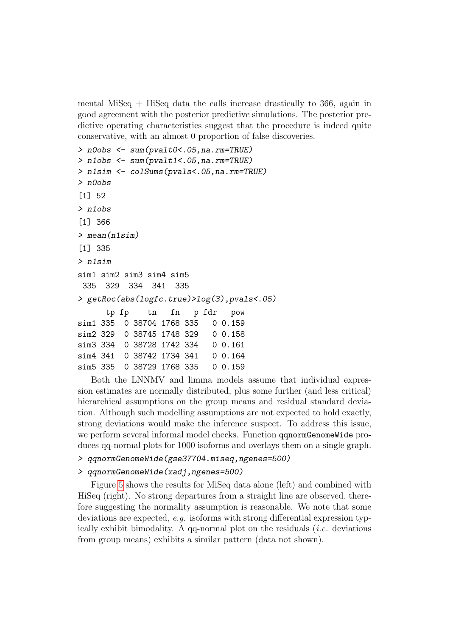mental MiSeq  $+$  HiSeq data the calls increase drastically to 366, again in good agreement with the posterior predictive simulations. The posterior predictive operating characteristics suggest that the procedure is indeed quite conservative, with an almost 0 proportion of false discoveries.

```
> n0obs <- sum(pvalt0<.05,na.rm=TRUE)
> n1obs <- sum(pvalt1<.05,na.rm=TRUE)
> n1sim <- colSums(pvals<.05,na.rm=TRUE)
> n0obs
[1] 52
> n1obs
[1] 366
> mean(n1sim)
[1] 335
> n1sim
sim1 sim2 sim3 sim4 sim5
335 329 334 341 335
> getRoc(abs(logfc.true)>log(3),pvals<.05)
     tp fp tn fn p fdr pow
sim1 335 0 38704 1768 335 0 0.159
sim2 329 0 38745 1748 329 0 0.158
sim3 334 0 38728 1742 334 0 0.161
sim4 341 0 38742 1734 341 0 0.164
sim5 335 0 38729 1768 335 0 0.159
```
Both the LNNMV and limma models assume that individual expression estimates are normally distributed, plus some further (and less critical) hierarchical assumptions on the group means and residual standard deviation. Although such modelling assumptions are not expected to hold exactly, strong deviations would make the inference suspect. To address this issue, we perform several informal model checks. Function qqnormGenomeWide produces qq-normal plots for 1000 isoforms and overlays them on a single graph.

### > qqnormGenomeWide(gse37704.miseq,ngenes=500)

#### > qqnormGenomeWide(xadj,ngenes=500)

Figure [5](#page-23-0) shows the results for MiSeq data alone (left) and combined with HiSeq (right). No strong departures from a straight line are observed, therefore suggesting the normality assumption is reasonable. We note that some deviations are expected, e.g. isoforms with strong differential expression typically exhibit bimodality. A qq-normal plot on the residuals (*i.e.* deviations from group means) exhibits a similar pattern (data not shown).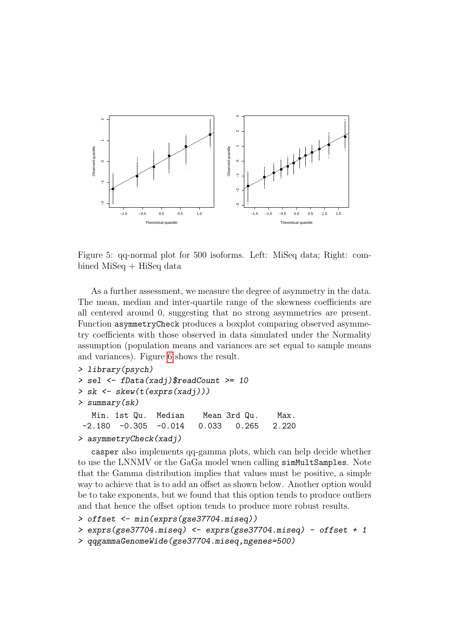

<span id="page-23-0"></span>Figure 5: qq-normal plot for 500 isoforms. Left: MiSeq data; Right: com $bined$  MiSeq + HiSeq data

As a further assessment, we measure the degree of asymmetry in the data. The mean, median and inter-quartile range of the skewness coefficients are all centered around 0, suggesting that no strong asymmetries are present. Function asymmetryCheck produces a boxplot comparing observed asymmetry coefficients with those observed in data simulated under the Normality assumption (population means and variances are set equal to sample means and variances). Figure [6](#page-24-0) shows the result.

```
> library(psych)
> sel <- fData(xadj)$readCount >= 10
> sk <- skew(t(exprs(xadj)))
> summary(sk)
  Min. 1st Qu. Median Mean 3rd Qu. Max.
-2.180 -0.305 -0.014 0.033 0.265 2.220
```
#### > asymmetryCheck(xadj)

casper also implements qq-gamma plots, which can help decide whether to use the LNNMV or the GaGa model wnen calling simMultSamples. Note that the Gamma distribution implies that values must be positive, a simple way to achieve that is to add an offset as shown below. Another option would be to take exponents, but we found that this option tends to produce outliers and that hence the offset option tends to produce more robust results.

```
> offset <- min(exprs(gse37704.miseq))
```

```
> exprs(gse37704.miseq) <- exprs(gse37704.miseq) - offset + 1
```
> qqgammaGenomeWide(gse37704.miseq,ngenes=500)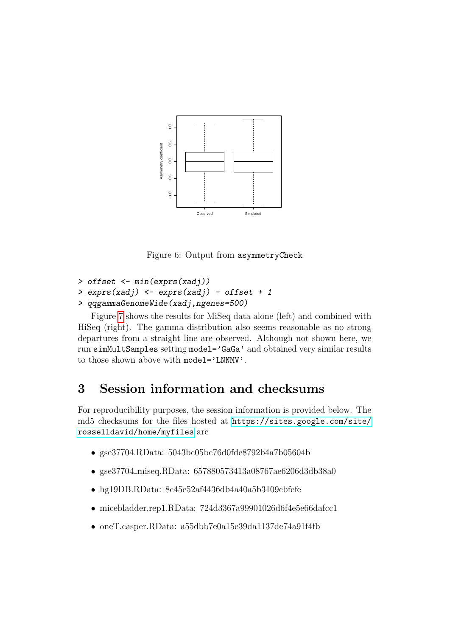

<span id="page-24-0"></span>Figure 6: Output from asymmetryCheck

```
> offset <- min(exprs(xadj))
> exprs(xadj) <- exprs(xadj) - offset + 1
```

```
> qqgammaGenomeWide(xadj,ngenes=500)
```
Figure [7](#page-25-0) shows the results for MiSeq data alone (left) and combined with HiSeq (right). The gamma distribution also seems reasonable as no strong departures from a straight line are observed. Although not shown here, we run simMultSamples setting model='GaGa' and obtained very similar results to those shown above with model='LNNMV'.

# 3 Session information and checksums

For reproducibility purposes, the session information is provided below. The md5 checksums for the files hosted at [https://sites.google.com/site/](https://sites.google.com/site/rosselldavid/home/myfiles) [rosselldavid/home/myfiles](https://sites.google.com/site/rosselldavid/home/myfiles) are

- gse37704.RData: 5043bc05bc76d0fdc8792b4a7b05604b
- gse37704 miseq.RData: 657880573413a08767ae6206d3db38a0
- hg19DB.RData: 8c45c52af4436db4a40a5b3109cbfcfe
- micebladder.rep1.RData: 724d3367a99901026d6f4e5e66dafcc1
- oneT.casper.RData: a55dbb7e0a15e39da1137de74a91f4fb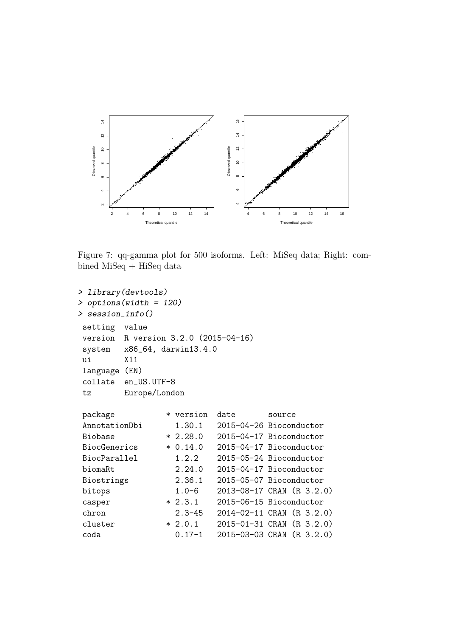

<span id="page-25-0"></span>Figure 7: qq-gamma plot for 500 isoforms. Left: MiSeq data; Right: com $bined$  MiSeq + HiSeq data

```
> library(devtools)
> options(width = 120)
> session_info()
setting value
version R version 3.2.0 (2015-04-16)
system x86_64, darwin13.4.0
ui X11
language (EN)
collate en_US.UTF-8
tz Europe/London
package * version date source
AnnotationDbi 1.30.1 2015-04-26 Bioconductor
Biobase * 2.28.0 2015-04-17 Bioconductor
BiocGenerics * 0.14.0 2015-04-17 Bioconductor
BiocParallel 1.2.2 2015-05-24 Bioconductor
biomaRt 2.24.0 2015-04-17 Bioconductor
Biostrings 2.36.1 2015-05-07 Bioconductor
bitops 1.0-6 2013-08-17 CRAN (R 3.2.0)
casper * 2.3.1 2015-06-15 Bioconductor
chron 2.3-45 2014-02-11 CRAN (R 3.2.0)
cluster * 2.0.1 2015-01-31 CRAN (R 3.2.0)
coda 0.17-1 2015-03-03 CRAN (R 3.2.0)
```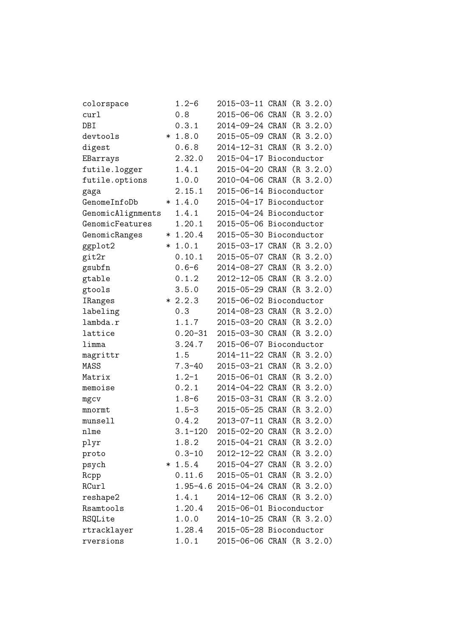| colorspace        |        | $1.2 - 6$    | 2015-03-11 CRAN (R 3.2.0) |                         |               |
|-------------------|--------|--------------|---------------------------|-------------------------|---------------|
| curl              |        | 0.8          | 2015-06-06 CRAN (R 3.2.0) |                         |               |
| DBI               |        | 0.3.1        | 2014-09-24 CRAN           |                         | $(R \ 3.2.0)$ |
| devtools          |        | $* 1.8.0$    | 2015-05-09 CRAN           |                         | $(R \ 3.2.0)$ |
| digest            |        | 0.6.8        | 2014-12-31 CRAN (R 3.2.0) |                         |               |
| EBarrays          |        | 2.32.0       | 2015-04-17 Bioconductor   |                         |               |
| futile.logger     |        | 1.4.1        | 2015-04-20 CRAN (R 3.2.0) |                         |               |
| futile.options    |        | 1.0.0        | 2010-04-06 CRAN (R 3.2.0) |                         |               |
| gaga              |        | 2.15.1       | 2015-06-14 Bioconductor   |                         |               |
| GenomeInfoDb      | $\ast$ | 1.4.0        | 2015-04-17 Bioconductor   |                         |               |
| GenomicAlignments |        | 1.4.1        | 2015-04-24 Bioconductor   |                         |               |
| GenomicFeatures   |        | 1.20.1       | 2015-05-06 Bioconductor   |                         |               |
| GenomicRanges     | $\ast$ | 1.20.4       | 2015-05-30 Bioconductor   |                         |               |
| ggplot2           | $\ast$ | 1.0.1        | 2015-03-17 CRAN (R 3.2.0) |                         |               |
| git2r             |        | 0.10.1       | 2015-05-07 CRAN (R 3.2.0) |                         |               |
| gsubfn            |        | $0.6 - 6$    | 2014-08-27 CRAN (R 3.2.0) |                         |               |
| gtable            |        | 0.1.2        | 2012-12-05 CRAN (R 3.2.0) |                         |               |
| gtools            |        | 3.5.0        | 2015-05-29 CRAN           |                         | $(R \ 3.2.0)$ |
| IRanges           |        | $* 2.2.3$    | 2015-06-02 Bioconductor   |                         |               |
| labeling          |        | 0.3          | 2014-08-23 CRAN (R 3.2.0) |                         |               |
| lambda.r          |        | 1.1.7        | 2015-03-20 CRAN           |                         | $(R \ 3.2.0)$ |
| lattice           |        | $0.20 - 31$  | 2015-03-30 CRAN           |                         | $(R \ 3.2.0)$ |
| limma             |        | 3.24.7       |                           | 2015-06-07 Bioconductor |               |
| magrittr          |        | 1.5          | 2014-11-22 CRAN (R 3.2.0) |                         |               |
| MASS              |        | $7.3 - 40$   | 2015-03-21 CRAN           |                         | $(R \ 3.2.0)$ |
| Matrix            |        | $1.2 - 1$    | 2015-06-01 CRAN (R 3.2.0) |                         |               |
| memoise           |        | 0.2.1        | 2014-04-22 CRAN (R 3.2.0) |                         |               |
| mgcv              |        | $1.8 - 6$    | 2015-03-31 CRAN           |                         | $(R \ 3.2.0)$ |
| mnormt            |        | $1.5 - 3$    | 2015-05-25 CRAN           |                         | $(R \ 3.2.0)$ |
| munsell           |        | 0.4.2        | 2013-07-11 CRAN           |                         | $(R \ 3.2.0)$ |
| nlme              |        | $3.1 - 120$  | 2015-02-20 CRAN           |                         | $(R \ 3.2.0)$ |
| plyr              |        | 1.8.2        | 2015-04-21 CRAN (R 3.2.0) |                         |               |
| proto             |        | $0.3 - 10$   | 2012-12-22 CRAN (R 3.2.0) |                         |               |
| psych             |        | $* 1.5.4$    | 2015-04-27 CRAN (R 3.2.0) |                         |               |
| Rcpp              |        | 0.11.6       | 2015-05-01 CRAN (R 3.2.0) |                         |               |
| RCurl             |        | $1.95 - 4.6$ | 2015-04-24 CRAN (R 3.2.0) |                         |               |
| reshape2          |        | 1.4.1        | 2014-12-06 CRAN (R 3.2.0) |                         |               |
| Rsamtools         |        | 1.20.4       |                           | 2015-06-01 Bioconductor |               |
| RSQLite           |        | 1.0.0        | 2014-10-25 CRAN (R 3.2.0) |                         |               |
| rtracklayer       |        | 1.28.4       | 2015-05-28 Bioconductor   |                         |               |
| rversions         |        | 1.0.1        | 2015-06-06 CRAN (R 3.2.0) |                         |               |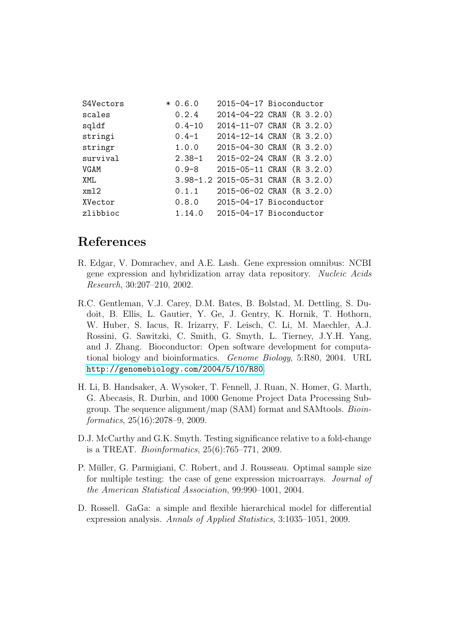| S4Vectors   | $* 0.6.0$  | 2015-04-17 Bioconductor            |  |
|-------------|------------|------------------------------------|--|
| scales      | 0.2.4      | 2014-04-22 CRAN (R 3.2.0)          |  |
| sqldf       | $0.4 - 10$ | 2014-11-07 CRAN (R 3.2.0)          |  |
| stringi     | $0.4 - 1$  | 2014-12-14 CRAN (R 3.2.0)          |  |
| stringr     | 1.0.0      | 2015-04-30 CRAN (R 3.2.0)          |  |
| survival    | $2.38 - 1$ | 2015-02-24 CRAN (R 3.2.0)          |  |
| <b>VGAM</b> | $0.9 - 8$  | 2015-05-11 CRAN (R 3.2.0)          |  |
| XML.        |            | 3.98-1.2 2015-05-31 CRAN (R 3.2.0) |  |
| xml2        | 0.1.1      | 2015-06-02 CRAN (R 3.2.0)          |  |
| XVector     | 0.8.0      | 2015-04-17 Bioconductor            |  |
| zlibbioc    |            | 1.14.0 2015-04-17 Bioconductor     |  |

# References

- <span id="page-27-2"></span>R. Edgar, V. Domrachev, and A.E. Lash. Gene expression omnibus: NCBI gene expression and hybridization array data repository. Nucleic Acids Research, 30:207–210, 2002.
- <span id="page-27-0"></span>R.C. Gentleman, V.J. Carey, D.M. Bates, B. Bolstad, M. Dettling, S. Dudoit, B. Ellis, L. Gautier, Y. Ge, J. Gentry, K. Hornik, T. Hothorn, W. Huber, S. Iacus, R. Irizarry, F. Leisch, C. Li, M. Maechler, A.J. Rossini, G. Sawitzki, C. Smith, G. Smyth, L. Tierney, J.Y.H. Yang, and J. Zhang. Bioconductor: Open software development for computational biology and bioinformatics. Genome Biology, 5:R80, 2004. URL <http://genomebiology.com/2004/5/10/R80>.
- <span id="page-27-1"></span>H. Li, B. Handsaker, A. Wysoker, T. Fennell, J. Ruan, N. Homer, G. Marth, G. Abecasis, R. Durbin, and 1000 Genome Project Data Processing Subgroup. The sequence alignment/map (SAM) format and SAMtools. Bioinformatics, 25(16):2078–9, 2009.
- <span id="page-27-4"></span>D.J. McCarthy and G.K. Smyth. Testing significance relative to a fold-change is a TREAT. Bioinformatics, 25(6):765–771, 2009.
- <span id="page-27-5"></span>P. Müller, G. Parmigiani, C. Robert, and J. Rousseau. Optimal sample size for multiple testing: the case of gene expression microarrays. Journal of the American Statistical Association, 99:990–1001, 2004.
- <span id="page-27-3"></span>D. Rossell. GaGa: a simple and flexible hierarchical model for differential expression analysis. Annals of Applied Statistics, 3:1035–1051, 2009.